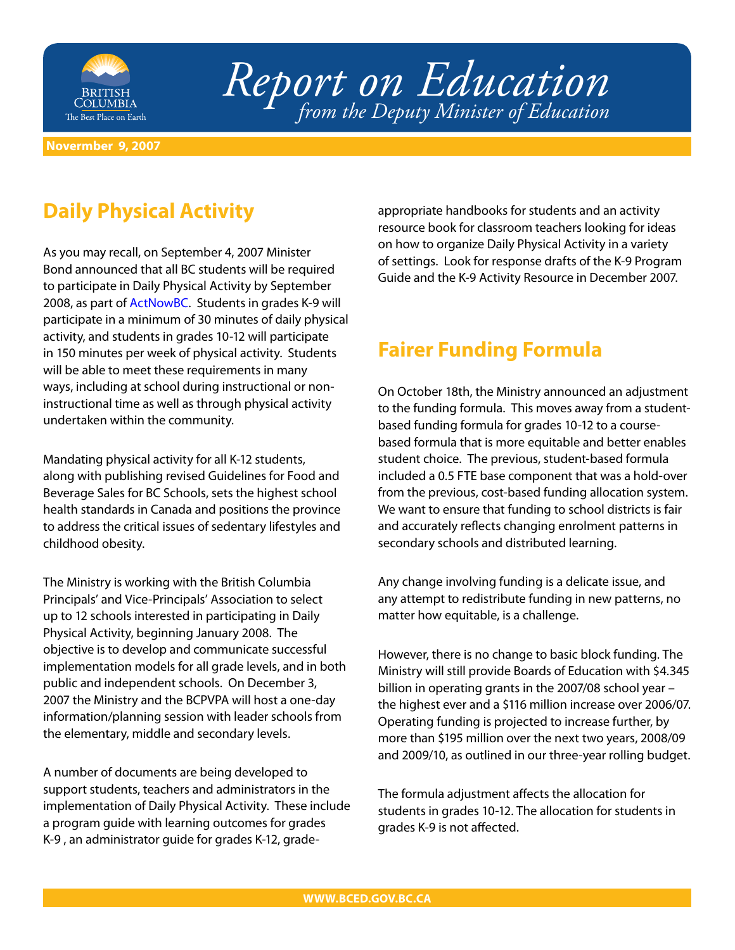

## *Report on Education from the Deputy Minister of Education*

**Novermber 9, 2007**

## **Daily Physical Activity**

As you may recall, on September 4, 2007 Minister Bond announced that all BC students will be required to participate in Daily Physical Activity by September 2008, as part of [ActNowBC](http://www.actnowbc.ca/). Students in grades K-9 will participate in a minimum of 30 minutes of daily physical activity, and students in grades 10-12 will participate in 150 minutes per week of physical activity. Students will be able to meet these requirements in many ways, including at school during instructional or noninstructional time as well as through physical activity undertaken within the community.

Mandating physical activity for all K-12 students, along with publishing revised Guidelines for Food and Beverage Sales for BC Schools, sets the highest school health standards in Canada and positions the province to address the critical issues of sedentary lifestyles and childhood obesity.

The Ministry is working with the British Columbia Principals' and Vice-Principals' Association to select up to 12 schools interested in participating in Daily Physical Activity, beginning January 2008. The objective is to develop and communicate successful implementation models for all grade levels, and in both public and independent schools. On December 3, 2007 the Ministry and the BCPVPA will host a one-day information/planning session with leader schools from the elementary, middle and secondary levels.

A number of documents are being developed to support students, teachers and administrators in the implementation of Daily Physical Activity. These include a program guide with learning outcomes for grades K-9 , an administrator guide for grades K-12, gradeappropriate handbooks for students and an activity resource book for classroom teachers looking for ideas on how to organize Daily Physical Activity in a variety of settings. Look for response drafts of the K-9 Program Guide and the K-9 Activity Resource in December 2007.

## **Fairer Funding Formula**

On October 18th, the Ministry announced an adjustment to the funding formula. This moves away from a studentbased funding formula for grades 10-12 to a coursebased formula that is more equitable and better enables student choice. The previous, student-based formula included a 0.5 FTE base component that was a hold-over from the previous, cost-based funding allocation system. We want to ensure that funding to school districts is fair and accurately reflects changing enrolment patterns in secondary schools and distributed learning.

Any change involving funding is a delicate issue, and any attempt to redistribute funding in new patterns, no matter how equitable, is a challenge.

However, there is no change to basic block funding. The Ministry will still provide Boards of Education with \$4.345 billion in operating grants in the 2007/08 school year – the highest ever and a \$116 million increase over 2006/07. Operating funding is projected to increase further, by more than \$195 million over the next two years, 2008/09 and 2009/10, as outlined in our three-year rolling budget.

The formula adjustment affects the allocation for students in grades 10-12. The allocation for students in grades K-9 is not affected.